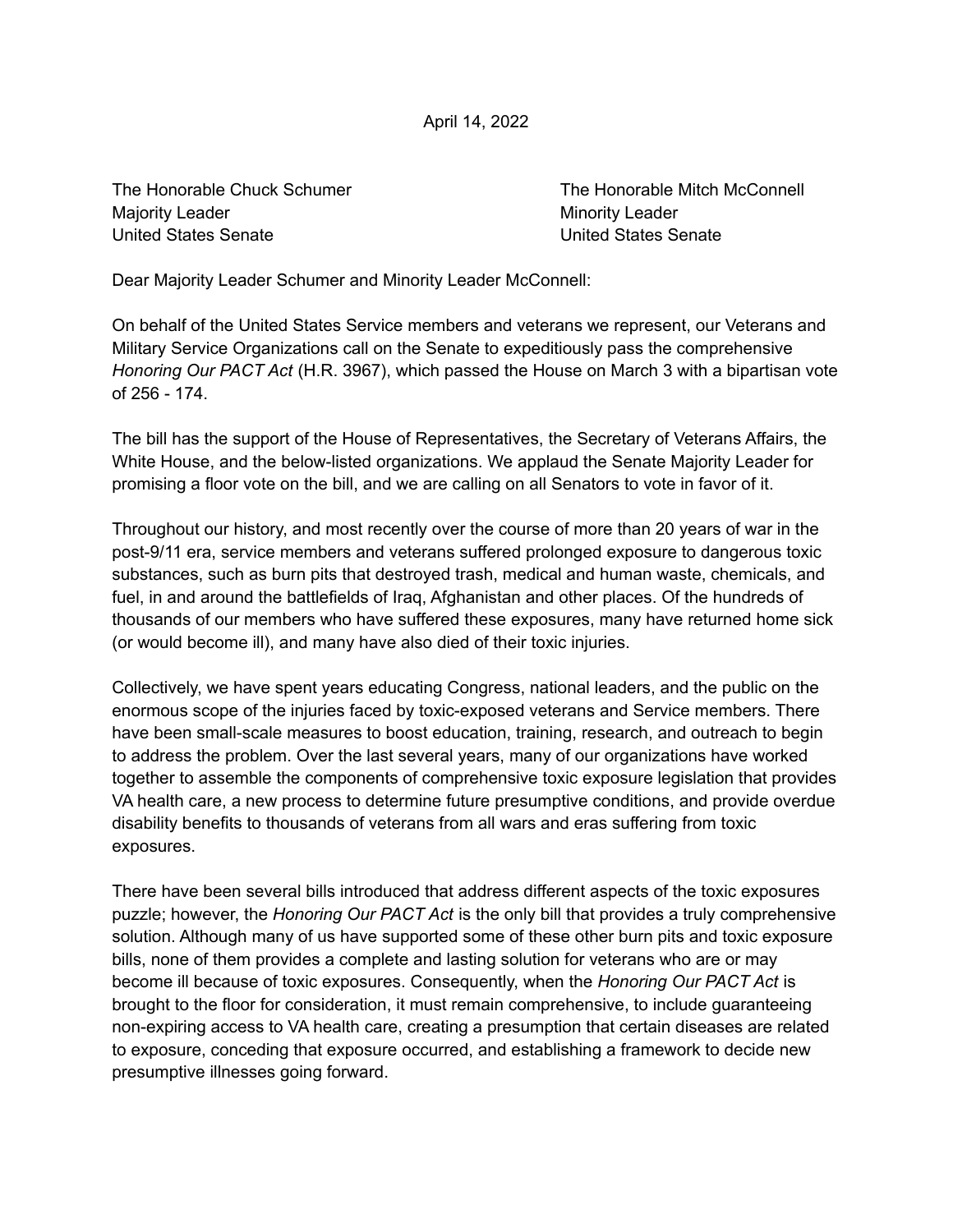April 14, 2022

Majority Leader **Minority Leader** Minority Leader United States Senate United States Senate

The Honorable Chuck Schumer The Honorable Mitch McConnell

Dear Majority Leader Schumer and Minority Leader McConnell:

On behalf of the United States Service members and veterans we represent, our Veterans and Military Service Organizations call on the Senate to expeditiously pass the comprehensive *Honoring Our PACT Act* (H.R. 3967), which passed the House on March 3 with a bipartisan vote of 256 - 174.

The bill has the support of the House of Representatives, the Secretary of Veterans Affairs, the White House, and the below-listed organizations. We applaud the Senate Majority Leader for promising a floor vote on the bill, and we are calling on all Senators to vote in favor of it.

Throughout our history, and most recently over the course of more than 20 years of war in the post-9/11 era, service members and veterans suffered prolonged exposure to dangerous toxic substances, such as burn pits that destroyed trash, medical and human waste, chemicals, and fuel, in and around the battlefields of Iraq, Afghanistan and other places. Of the hundreds of thousands of our members who have suffered these exposures, many have returned home sick (or would become ill), and many have also died of their toxic injuries.

Collectively, we have spent years educating Congress, national leaders, and the public on the enormous scope of the injuries faced by toxic-exposed veterans and Service members. There have been small-scale measures to boost education, training, research, and outreach to begin to address the problem. Over the last several years, many of our organizations have worked together to assemble the components of comprehensive toxic exposure legislation that provides VA health care, a new process to determine future presumptive conditions, and provide overdue disability benefits to thousands of veterans from all wars and eras suffering from toxic exposures.

There have been several bills introduced that address different aspects of the toxic exposures puzzle; however, the *Honoring Our PACT Act* is the only bill that provides a truly comprehensive solution. Although many of us have supported some of these other burn pits and toxic exposure bills, none of them provides a complete and lasting solution for veterans who are or may become ill because of toxic exposures. Consequently, when the *Honoring Our PACT Act* is brought to the floor for consideration, it must remain comprehensive, to include guaranteeing non-expiring access to VA health care, creating a presumption that certain diseases are related to exposure, conceding that exposure occurred, and establishing a framework to decide new presumptive illnesses going forward.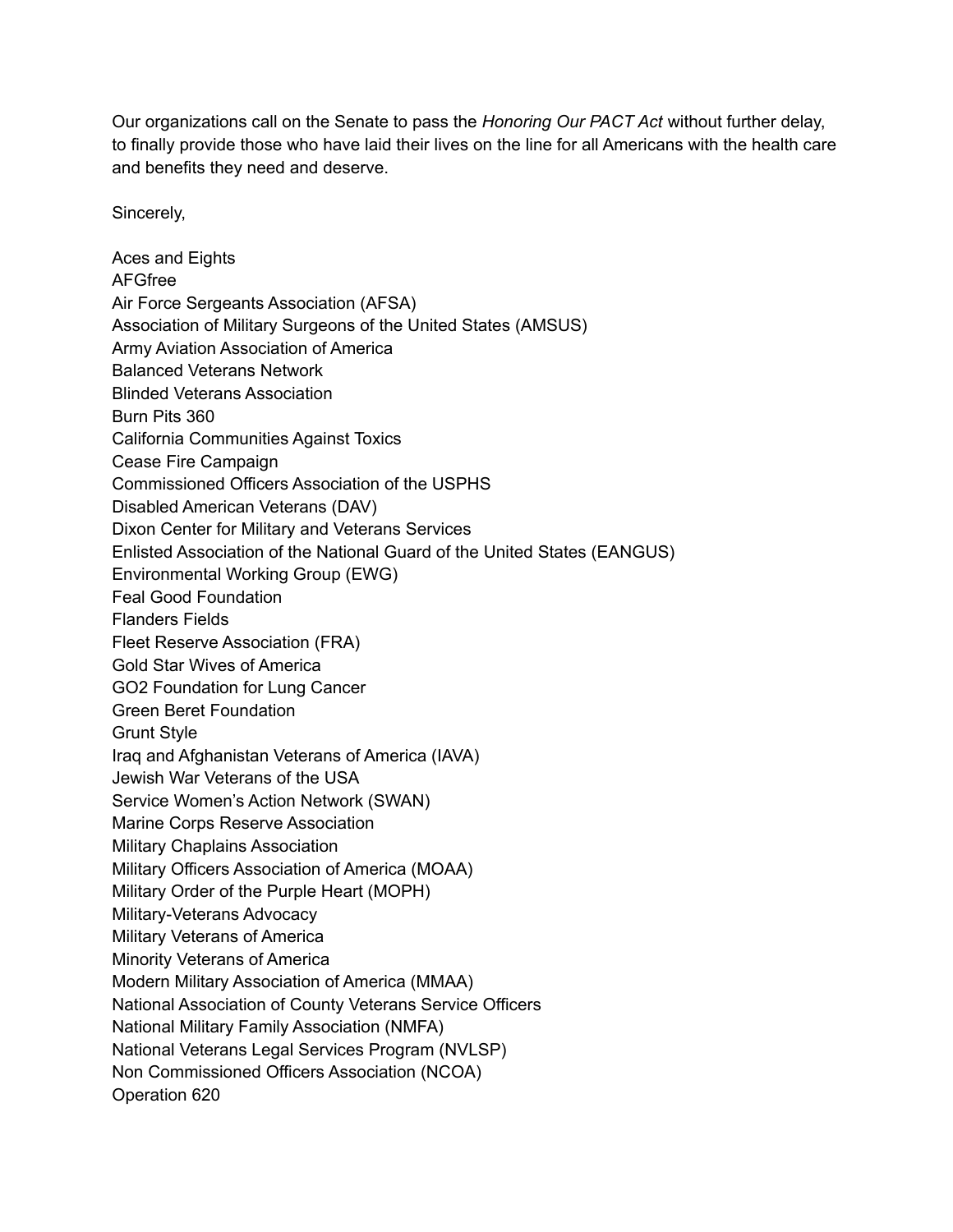Our organizations call on the Senate to pass the *Honoring Our PACT Act* without further delay, to finally provide those who have laid their lives on the line for all Americans with the health care and benefits they need and deserve.

Sincerely,

Aces and Eights AFGfree Air Force Sergeants Association (AFSA) Association of Military Surgeons of the United States (AMSUS) Army Aviation Association of America Balanced Veterans Network Blinded Veterans Association Burn Pits 360 California Communities Against Toxics Cease Fire Campaign Commissioned Officers Association of the USPHS Disabled American Veterans (DAV) Dixon Center for Military and Veterans Services Enlisted Association of the National Guard of the United States (EANGUS) Environmental Working Group (EWG) Feal Good Foundation Flanders Fields Fleet Reserve Association (FRA) Gold Star Wives of America GO2 Foundation for Lung Cancer Green Beret Foundation Grunt Style Iraq and Afghanistan Veterans of America (IAVA) Jewish War Veterans of the USA Service Women's Action Network (SWAN) Marine Corps Reserve Association Military Chaplains Association Military Officers Association of America (MOAA) Military Order of the Purple Heart (MOPH) Military-Veterans Advocacy Military Veterans of America Minority Veterans of America Modern Military Association of America (MMAA) National Association of County Veterans Service Officers National Military Family Association (NMFA) National Veterans Legal Services Program (NVLSP) Non Commissioned Officers Association (NCOA) Operation 620